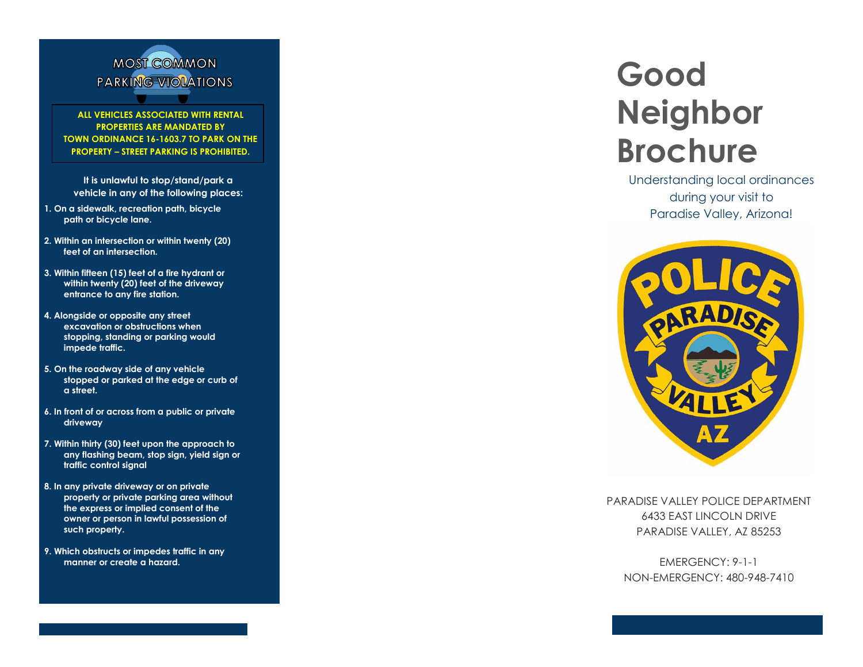

**ALL VEHICLES ASSOCIATED WITH RENTAL PROPERTIES ARE MANDATED BY TOWN ORDINANCE 16-1603.7 TO PARK ON THE PROPERTY – STREET PARKING IS PROHIBITED.**

**It is unlawful to stop/stand/park a vehicle in any of the following places:**

- **1. On a sidewalk, recreation path, bicycle path or bicycle lane.**
- **2. Within an intersection or within twenty (20) feet of an intersection.**
- **3. Within fifteen (15) feet of a fire hydrant or within twenty (20) feet of the driveway entrance to any fire station.**
- **4. Alongside or opposite any street excavation or obstructions when stopping, standing or parking would impede traffic.**
- **5. On the roadway side of any vehicle stopped or parked at the edge or curb of a street.**
- **6. In front of or across from a public or private driveway**
- **7. Within thirty (30) feet upon the approach to any flashing beam, stop sign, yield sign or traffic control signal**
- **8. In any private driveway or on private property or private parking area without the express or implied consent of the owner or person in lawful possession of such property.**
- **9. Which obstructs or impedes traffic in any manner or create a hazard.**

# **Good Neighbor Brochure**

Understanding local ordinances during your visit to Paradise Valley, Arizona!



PARADISE VALLEY POLICE DEPARTMENT 6433 EAST LINCOLN DRIVE PARADISE VALLEY, AZ 85253

EMERGENCY: 9-1-1 NON -EMERGENCY: 480 -948 -7410